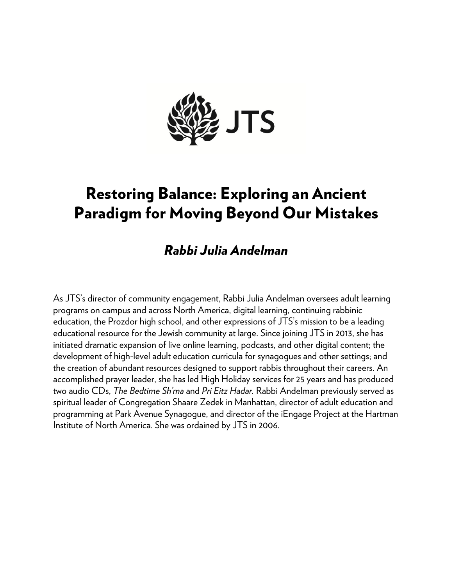

# Restoring Balance: Exploring an Ancient Paradigm for Moving Beyond Our Mistakes

## *Rabbi Julia Andelman*

As JTS's director of community engagement, Rabbi Julia Andelman oversees adult learning programs on campus and across North America, digital learning, continuing rabbinic education, the Prozdor high school, and other expressions of JTS's mission to be a leading educational resource for the Jewish community at large. Since joining JTS in 2013, she has initiated dramatic expansion of live online learning, podcasts, and other digital content; the development of high-level adult education curricula for synagogues and other settings; and the creation of abundant resources designed to support rabbis throughout their careers. An accomplished prayer leader, she has led High Holiday services for 25 years and has produced two audio CDs, *The Bedtime Sh'ma* and *Pri Eitz Hadar.* Rabbi Andelman previously served as spiritual leader of Congregation Shaare Zedek in Manhattan, director of adult education and programming at Park Avenue Synagogue, and director of the iEngage Project at the Hartman Institute of North America. She was ordained by JTS in 2006.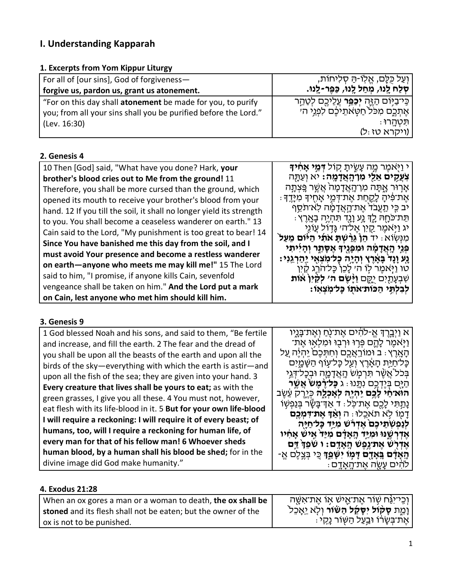## **I. Understanding Kapparah**

#### **1. Excerpts from Yom Kippur Liturgy**

| For all of [our sins], God of forgiveness-                      | וִעַל כְּלֶם, אֱלְוֹ-הַּ סְלִיחוֹת,                     |
|-----------------------------------------------------------------|---------------------------------------------------------|
| forgive us, pardon us, grant us atonement.                      | ּסִלַּח לֵנוּ, מְחַל לֵנוּ, כַּפֵּר-לֵנוּ.              |
| "For on this day shall atonement be made for you, to purify     | ְבְּיִבַיְּוֹם הַזֶּה <b>יִכַּפֵּר</b> עֲלֵיבֵם לְטַהֵר |
| you; from all your sins shall you be purified before the Lord." | אֶתְכֶם מִכֹּל חַטְּאתֵיכֵם לִפְגֵי הי                  |
| (Lev. 16:30)                                                    | ּתִּטְהֵרוּ                                             |
|                                                                 | (ויקרא טז:ל)                                            |

#### **2. Genesis 4**

| 10 Then [God] said, "What have you done? Hark, your                  | י וַיְּאמֵר מֵה עָשֶׂיתָ קוֹל <del>ו</del> ָמֵ <b>י אָחִיד</b> ָ                                      |
|----------------------------------------------------------------------|-------------------------------------------------------------------------------------------------------|
| brother's blood cries out to Me from the ground! 11                  | <b>ְצְעֲקֶים אֵלֵי מִרְהֶאֲדָמֶה:</b> יא וְעַתֶּה                                                     |
| Therefore, you shall be more cursed than the ground, which           | אָרְוּר אֱתָּה מִן־הָאֲדָמָה אֲשֵׁר פֵּצְתָּה                                                         |
| opened its mouth to receive your brother's blood from your           | ּאֵת־פִּ֫יהָ לָקֶחַת אֶת־דְּמֵי אָחֶיךָ מִיָּדֶךָ                                                     |
| hand. 12 If you till the soil, it shall no longer yield its strength | יֹב כֵּי תַעֲבֹד אֵת־הָאֲדָמָה לְא־תֹסֵף                                                              |
| to you. You shall become a ceaseless wanderer on earth." 13          | ּתֵּת־כֹּחָהּ לֵךְ גָּע וָנֶד תִּהְיֶה בָאָרֶץ :                                                      |
| Cain said to the Lord, "My punishment is too great to bear! 14       | יג וַיְּאמֵר קֵיִן אֵל־ה׳ גָּדְוֹל עֵוֹנֵי                                                            |
| Since You have banished me this day from the soil, and I             | ֹמְנִשְׂוֹא : יד הֵןْ גֵּרַשְׁתָּ אֹתָי הַיּוֹם מֵעַל                                                 |
| must avoid Your presence and become a restless wanderer              | פְּגֵי הָאֲדָמָה וּמִפְּגֵיךָ אֵסָתֶר וִהָיִיתִי                                                      |
| on earth-anyone who meets me may kill me!" 15 The Lord               | ַנָּע וָנָד בָּאָרֵץ וְהָיָה כַּל־מִצְאֵי יַהַרְגֵנִי:<br>טו וַיִּאמֵר לִוֹ ה׳ לָכֵן כָּל־הֹרֵג קַיִן |
| said to him, "I promise, if anyone kills Cain, sevenfold             | שִׁבְעָתַיִם יַקֱם <b>וַיָּשֵׂם ה׳ לִקַיִּן אות</b>                                                   |
| vengeance shall be taken on him." And the Lord put a mark            | לִבְלְתֵּי הַכּוֹת אתו כָּל־מִצְאוֹ:                                                                  |
| on Cain, lest anyone who met him should kill him.                    |                                                                                                       |

#### **3. Genesis 9**

| 1 God blessed Noah and his sons, and said to them, "Be fertile     | א וַיִּבְרֵךְּ אֱ-לֹהִים אֵת־נְּחַ וְאֵת־בָּנֵיו              |
|--------------------------------------------------------------------|---------------------------------------------------------------|
| and increase, and fill the earth. 2 The fear and the dread of      | ַוַיְאֹמֶר לָהֱם פְּרִוּ וּרְבָוּ וּמִלְאִוּ אֵת־             |
| you shall be upon all the beasts of the earth and upon all the     | הַאֲרֵץ : ב וּמוֹרֵאֲכֵם וְחִתְּכֶם יֵהְיֶה עַל               |
| birds of the sky-everything with which the earth is astir-and      | כָּל־חַיַּת הָאָרֶץ וְעַל כָּל־עָוֹף הַשָּׁמֳיִם              |
| upon all the fish of the sea; they are given into your hand. 3     | בִּכֹל אֲשֶׁר תִּרְמָשׁ הָאֲדָמֱה וּבִכָּל־דְּגֵי             |
| Every creature that lives shall be yours to eat; as with the       | הים בידכם נתנו : ג <b>כל רמש אשר</b>                          |
| green grasses, I give you all these. 4 You must not, however,      | הואיחי לַבֵּם יֶהְיֶה לְאָכְלֶה כְּיֵרֵק עֵׁשֶׂב              |
| eat flesh with its life-blood in it. 5 But for your own life-blood | ַנַתַתִּי לַכֵם אֵת־כֹּל: ד אַךְ־בָּשָׂר בְּנַפְשְׁוֹ         |
| I will require a reckoning: I will require it of every beast; of   | דַמִוֹ לְא תֹאכֵלוּ : ה <b>וְאַדְ אֵת־דְּמְכֵם</b>            |
|                                                                    | לְנַפְשְׁתֵיכֶם אֱדְרֹשׁ מְיַדָ כָּל־חַיַּה                   |
| humans, too, will I require a reckoning for human life, of         | אַדְרְשֶׁנּוּ וּמְיֵּד הָאֲדָם מִיַּד אֵישׁ אַחִיו            |
| every man for that of his fellow man! 6 Whoever sheds              | אֵדְרָשׁ אֵתֹיגֵפֵשׁ הָאָדֶם: ו שֹׁפְדְּ דַּם                 |
| human blood, by a human shall his blood be shed; for in the        | <b>הָאָדָם בְּאָדֶם דָּמְוֹ יִשְּׁמֵך</b> ּ כְּי בְּצֶלֶם אֱ- |
| divine image did God make humanity."                               | ּלֹהֹים עַשַׂה אֲת־הֲאַדֵּם :                                 |
|                                                                    |                                                               |

### **4. Exodus 21:28**

| When an ox gores a man or a woman to death, the ox shall be   | ַוְּבֵי־יְגַּ֫ח שְׁוֹר אֱת־אֱישׁ אָוֹ אֱת־אָשֶׁה |
|---------------------------------------------------------------|--------------------------------------------------|
| stoned and its flesh shall not be eaten; but the owner of the | וָמֶת סָקּוֹל יִסָּקָל הַשּׁוֹר וִלְא יֵאָבְל`   |
| ox is not to be punished.                                     | ּאֵת־בִּשָׂרוֹ וּבַעַל הַשְּׁוֹר נָקִי           |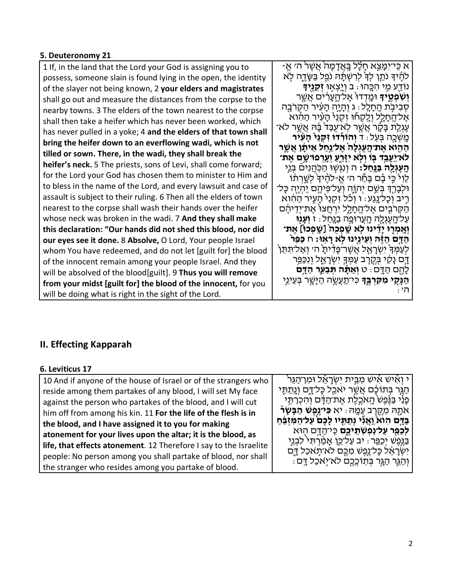#### **5. Deuteronomy 21**

1 If, in the land that the Lord your God is assigning you to possess, someone slain is found lying in the open, the identity of the slayer not being known, 2 **your elders and magistrates** shall go out and measure the distances from the corpse to the nearby towns. 3 The elders of the town nearest to the corpse shall then take a heifer which has never been worked, which has never pulled in a yoke; 4 **and the elders of that town shall bring the heifer down to an everflowing wadi, which is not tilled or sown. There, in the wadi, they shall break the heifer's neck.** 5 The priests, sons of Levi, shall come forward; for the Lord your God has chosen them to minister to Him and to bless in the name of the Lord, and every lawsuit and case of assault is subject to their ruling. 6 Then all the elders of town nearest to the corpse shall wash their hands over the heifer whose neck was broken in the wadi. 7 **And they shall make this declaration: "Our hands did not shed this blood, nor did our eyes see it done.** 8 **Absolve,** O Lord, Your people Israel whom You have redeemed, and do not let [guilt for] the blood of the innocent remain among your people Israel. And they will be absolved of the blood[guilt]. 9 **Thus you will remove from your midst [guilt for] the blood of the innocent,** for you will be doing what is right in the sight of the Lord.

ּ א כֵּי־יִמַּצֵא חַלָל בֵּאֲדָמָה אֲשֶׁר הִי אֱ-ַ לֹהֶיךָ נֹתֵן לִדְ לִרְשְׁתָּהּ נֹפֵל בַּשָּׂדֶה לְא נוֹדַ ֖ ע מִ ֥ י הִ כָּ ֽ הוּ: ב וְ יָ ֽצְ א֥ וּ **זְ קֵ נֶ ֖י� יְשְׁבְּטֶיִּדְ** וּמֶדְדוּ אֶל־הֶעֲרִים אֲשֶׁר<br>סְבִיבָת הֶחָלֵל ּ ג וְהָיָה הָעִּיר הַקְּרֹבֶה<br>אֶל־הֱחָלֵל וְלֵקְחוּ זְקָנֵי ּהֲעִיר הַחָּוא עֶגְלַת בָּקָר אֲשֶׁר לְאֹיַעֻבַּד<sup>ִ</sup> בָּ֫הּ אֲשֶׁר לֹא־<br>מֵשֶׁכֵה בִּעָל : ד**ֹ וְהוֹרָדוּ זָקְנֵי הַעָּיר** הַ הָ הָ אֶת־הָעֶגְלָה אֱל־נַחַל אֵיתַן אֲשֱר **ֿלֹא־יֵעֶבֵד בִּוֹ וִלְא יְזַרֵעַ וְעֵרְפוּ שֵׁם אֶת ּהֵעֶגְלֵה בַּגַּחַל:** ה וְנִגְּשִׁוּ הַכְּהֲנִיםֿ בְּנֵי ֹלֵוִי כִּי בָ֫ם בָּחַۢר ה׳ אֱ-לֹהֶיךָ לְשֶׁרְתֹוֹ וּלִבָּרֵךְ בִּשֵׁם יִהְוֶה וְעַל־פִּיהֵם יֶהְיֶה כָּל־ ּ רֶיב וְכָל־נֶגַע: ו וְכֹל זִקְנֵי הָעִיר הַהִ֫וֹא<br>הַקְּרֹבֶים אֶל־הֱחָלֶל יִרְחֵצוּ אֵת־יִדֵיהֵם עַ ל־הָ ֽ עֶ גְ לָ ֖ ה הָ ֽ עֲרוּפָ ֥ה בַ נָּ ֽחַ ל: ז **וְ עָ נ֖ וּ וְאֶמְרֶוּ יָדֵינוּ לָא שֶׁפְכַה** [שֵׁפְכוּ] אֵת־ **ֹהַדָּם הַזֶּה וְעֵינֵינוּ לְא רָאִוּ:** ח כַּפֵּר<br>לִעַמְךָ יִשְׂרָאֱל אֲשֶׁר־פָּדִיתָ ה׳ וְאֲל־תִּתֵּן ַדְָּם נָקָי בְּקֶרֵב עַמְּךָּ יִשְׂרָאֱל וְנִכַּפֵּֽר לָהֶ ֖ ם הַ דָּ ֽ ם: ט **וְ אַ תָּ֗ ה תְּ בַ עֵ ֛ר הַ דָּ ֥ם ּהַנָּקִי מִקִּרְבֵּד**ָ כִּי־תַעֲשֶׂה הַיַּשֵׁר בְּעֵינֵי ה':

### **II. Effecting Kapparah**

#### **6. Leviticus 17**

| 10 And if anyone of the house of Israel or of the strangers who   | י וְאִישׁ אִישׁ מְבֵית יִשְׂרָאֵל וּמִן־הַגֵּר                     |
|-------------------------------------------------------------------|--------------------------------------------------------------------|
| reside among them partakes of any blood, I will set My face       | הַגְּר בְּתוֹכָם אֲשֶׁר יֹאכַל כָּל־דֶם וְנֶתַתְּי                 |
| against the person who partakes of the blood, and I will cut      | פָּנַי בַּגֶּפֶשׁ הָאֹכֶלֶת אֶת־הַדָּם וְהִכְרַתְּי                |
| him off from among his kin. 11 For the life of the flesh is in    | אֹתָה מְקֵרֵב עַמֶּה : יא <b>כִּייִנֶפֵשׁ הַבָּשָׂר</b> ْ          |
| the blood, and I have assigned it to you for making               | ּבַּדֶּם הִוּא <u>ֹ וְא</u> ֵנְי נִתַּתְּיו לָכֵם עַל־הַמִּזְבֵּחַ |
| atonement for your lives upon the altar; it is the blood, as      | <b>ַלְכַּמֵּר עַל־נַפְשְׁתֵיִכֵם</b> כֵּי־הַדָּם הְוּא             |
| life, that effects atonement. 12 Therefore I say to the Israelite | בַּגֶּפֶשׁ יְכַפֵּר ּ יב עַל־כֵּן אָמַ֫רְתִּי לִבְגֵי              |
| people: No person among you shall partake of blood, nor shall     | יִשְׂרָאֵל כָּל־יֶנֶפֶּשׁ מִכֶּם לא־תָאכַל דֶם                     |
| the stranger who resides among you partake of blood.              | ּוְהַגֶּר הַגָּר בִּתְוֹכֲכֵם לֹא־יְאכַל דֵָם :                    |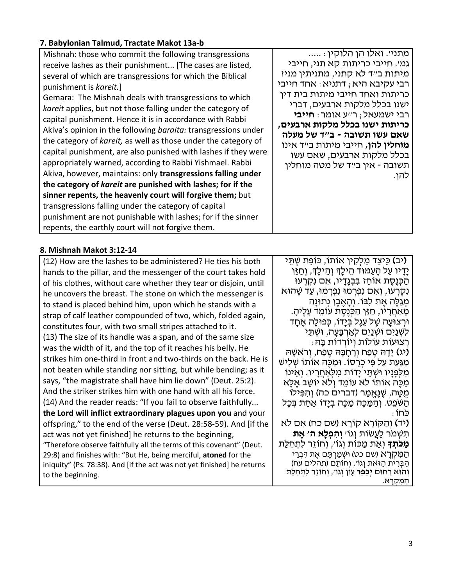| 7. Babylonian Talmud, Tractate Makot 13a-b                                                                                                                                                                                                                                                                                                                                                                                                                                                                                                                                                                                                                                                                                                                                                                                                                                                                                                                                                                                                  |                                                                                                                                                                                                                                                                                                                                                                                                                       |
|---------------------------------------------------------------------------------------------------------------------------------------------------------------------------------------------------------------------------------------------------------------------------------------------------------------------------------------------------------------------------------------------------------------------------------------------------------------------------------------------------------------------------------------------------------------------------------------------------------------------------------------------------------------------------------------------------------------------------------------------------------------------------------------------------------------------------------------------------------------------------------------------------------------------------------------------------------------------------------------------------------------------------------------------|-----------------------------------------------------------------------------------------------------------------------------------------------------------------------------------------------------------------------------------------------------------------------------------------------------------------------------------------------------------------------------------------------------------------------|
| Mishnah: those who commit the following transgressions<br>receive lashes as their punishment [The cases are listed,<br>several of which are transgressions for which the Biblical<br>punishment is kareit.]<br>Gemara: The Mishnah deals with transgressions to which<br>kareit applies, but not those falling under the category of<br>capital punishment. Hence it is in accordance with Rabbi<br>Akiva's opinion in the following baraita: transgressions under<br>the category of kareit, as well as those under the category of<br>capital punishment, are also punished with lashes if they were<br>appropriately warned, according to Rabbi Yishmael. Rabbi<br>Akiva, however, maintains: only transgressions falling under<br>the category of kareit are punished with lashes; for if the<br>sinner repents, the heavenly court will forgive them; but<br>transgressions falling under the category of capital<br>punishment are not punishable with lashes; for if the sinner<br>repents, the earthly court will not forgive them. | מתני׳. ואלו הן הלוקין:<br>גמי. חייבי כריתות קא תני, חייבי<br>מיתות ב״ד לא קתני, מתניתין מני?<br>רבי עקיבא היא; דתניא: אחד חייבי<br>כריתות ואחד חייבי מיתות בית דין<br>ישנו בכלל מלקות ארבעים, דברי<br>רבי ישמעאל; רייע אומר: חייבי<br>כריתות ישנו בכלל מלקות ארבעים,<br>שאם עשו תשובה - ב"ד של מעלה<br><b>מוחלין להן,</b> חייבי מיתות ב״ד אינו<br>בכלל מלקות ארבעים, שאם עשו<br>תשובה - אין ב״ד של מטה מוחלין<br>להן. |

#### **7. Babylonian Talmud, Tractate Makot 13a-b**

#### **8. Mishnah Makot 3:12-14**

(12) How are the lashes to be administered? He ties his both hands to the pillar, and the messenger of the court takes hold of his clothes, without care whether they tear or disjoin, until he uncovers the breast. The stone on which the messenger is to stand is placed behind him, upon which he stands with a strap of calf leather compounded of two, which, folded again, constitutes four, with two small stripes attached to it. (13) The size of its handle was a span, and of the same size was the width of it, and the top of it reaches his belly. He strikes him one-third in front and two-thirds on the back. He is not beaten while standing nor sitting, but while bending; as it says, "the magistrate shall have him lie down" (Deut. 25:2). And the striker strikes him with one hand with all his force. (14) And the reader reads: "If you fail to observe faithfully... **the Lord will inflict extraordinary plagues upon you** and your offspring," to the end of the verse (Deut. 28:58-59). And [if the act was not yet finished] he returns to the beginning, "Therefore observe faithfully all the terms of this covenant" (Deut. 29:8) and finishes with: "But He, being merciful, **atoned** for the iniquity" (Ps. 78:38). And [if the act was not yet finished] he returns to the beginning.

**(**יב**)** כֵּיצַ ד מַ לְקִ ין אוֹתוֹ, כּוֹפֵת שְׁ תֵּ י יָדָיו עַל הָעַמּוּד הֵילָךְ וְהֵילָךָ, וְחַזַּן ּ הַכְּנֶסֶת אוֹחֵז בִּבְגָדָיו, אִם נִקְרְעוּ נִקְרְעוּ, וְאִם נִפְרְמוּ נִפְרְמוּ, עַד שֵׁהוּא מְגַלֶּה אֶת לְבּוֹ. וְהָאֶבֶן נְתוּנַה ּ מֵאַחֲרָיו, חַזַּן הַכְּנֵסֶת עוֹמֵד עָלֵיהָ. ּוּרְצוּעַה שֶׁל עֵגֶל בְּיַדוֹ, כְּפוּלַה אֱחַד לִשְׁנַיִּם וּשָׁנַיִּם לְאַרְבַּעַה, וּשָׁתֵּי ּרְ צוּעוֹת עוֹלוֹת וְיוֹרְדוֹת בַּהּ **(**יג**)** יָדָ הּ טֶ פַח וְ רָ חָ בָּ הּ טֶ פַח, וְ ר ֹאשָׁ הּ מַגַּעַת עַל פִּי כְרֵסוֹ. וּמַכֵּה אוֹתוֹ שְׁלִישׁ מִלְפַנַיו וּשְׁתֵּי יַדוֹת מִלְאַחֲרֵיו. וְאֵינוֹ ְמַכֶּה אוֹתוֹ לֹא עוֹמֵד וְלֹא יוֹשֵׁב אֵלָּא ְ מֵטֶּה, שֶׁנֶּאֱמַר (דברים כה) וְהִפִּילוֹ הַ שֹּׁפֵט. וְ הַ מַּ כֶּה מַ כֶּה בְ יָדוֹ אַ חַ ת בְּ כָל כֹּחוֹ: **(**יד**)** וְ הַ קּוֹרֵ א קוֹרֵ א (שם כח) אִ ם ל ֹא

תִ שְׁ מֹר לַעֲשׂוֹת וְ גוֹ' **וְ הִ פְ לָא ה' אֶ ת מַכֹּתִד**ּ וְאֵת מַכּוֹת וְגוֹ׳, וְחוֹזֵר לִתְחָלֵת ּ הַמְּקְרָא (שם כט) וּשְׁמַרְתֵּם אֱת דִּבְרֵי הַבְּרִית הַזּאת וְגוֹ׳, וְחוֹתֵם (תהלים עח) ֿוְהוּא רַחוּם **יְכַפֵּר** עָוֹן וְגוֹ׳, וְחוֹזֵר לִתְחִלַּת<br>הַמַּקְרַא.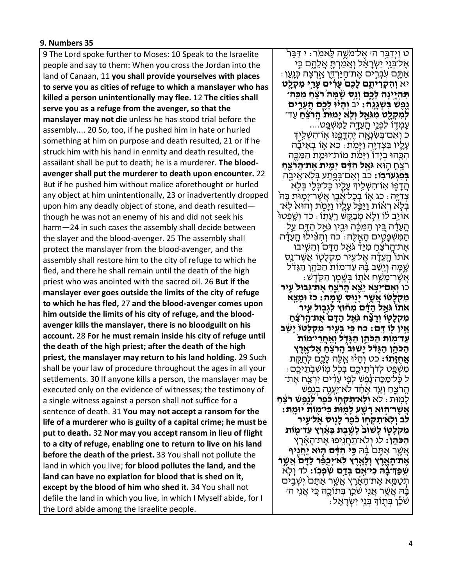#### **9. Numbers 35**

9 The Lord spoke further to Moses: 10 Speak to the Israelite people and say to them: When you cross the Jordan into the land of Canaan, 11 **you shall provide yourselves with places to serve you as cities of refuge to which a manslayer who has killed a person unintentionally may flee.** 12 **The cities shall serve you as a refuge from the avenger, so that the manslayer may not die** unless he has stood trial before the assembly.... 20 So, too, if he pushed him in hate or hurled something at him on purpose and death resulted, 21 or if he struck him with his hand in enmity and death resulted, the assailant shall be put to death; he is a murderer. **The bloodavenger shall put the murderer to death upon encounter.** 22 But if he pushed him without malice aforethought or hurled any object at him unintentionally, 23 or inadvertently dropped upon him any deadly object of stone, and death resulted though he was not an enemy of his and did not seek his harm—24 in such cases the assembly shall decide between the slayer and the blood-avenger. 25 The assembly shall protect the manslayer from the blood-avenger, and the assembly shall restore him to the city of refuge to which he fled, and there he shall remain until the death of the high priest who was anointed with the sacred oil. 26 **But if the manslayer ever goes outside the limits of the city of refuge to which he has fled,** 27 **and the blood-avenger comes upon him outside the limits of his city of refuge, and the bloodavenger kills the manslayer, there is no bloodguilt on his account.** 28 **For he must remain inside his city of refuge until the death of the high priest; after the death of the high priest, the manslayer may return to his land holding.** 29 Such shall be your law of procedure throughout the ages in all your settlements. 30 If anyone kills a person, the manslayer may be executed only on the evidence of witnesses; the testimony of a single witness against a person shall not suffice for a sentence of death. 31 **You may not accept a ransom for the life of a murderer who is guilty of a capital crime; he must be put to death.** 32 **Nor may you accept ransom in lieu of flight to a city of refuge, enabling one to return to live on his land before the death of the priest.** 33 You shall not pollute the land in which you live; **for blood pollutes the land, and the land can have no expiation for blood that is shed on it, except by the blood of him who shed it.** 34 You shall not defile the land in which you live, in which I Myself abide, for I the Lord abide among the Israelite people.

ֿט וַיְדַבֵּר הי אֱל־מֹשֱה לֵּאמִׂר: י דַּבֵּר ְ אֱל־בְּנֵי יִשְׂרַאֵל וְאֶמַרְתָּ אֲלֶהֱם כֵּי ּ אַתֱם עְׂבִרְים אֵת־הַיַּרְדֵֶּן אַרִצָּה כִּנְעַן ו יא וְהָקְרִיתֵ**ּם לָכֶם עַרְים עָרֵי מִקְלֵט** תִּ הְיֵינַה לַבֵּם וְנֵס שָׁמַּה וֹצֵח מַכֵּה־ **ַיְגֵמָה: יִב וְהָיוּ לָכֶם הֱעָרֵים ַ לְמִקְלֵט מִגֹּאֵל וְלָא יַמוּת הַרֹצֵחַ** עַד־ ַ עַמְדֶוֹ לִפְנֵי הֵעֲדָה לַמְּשְׁפֵָּט.... ּכ וְאִם־בְּשִׂנְאָה יֶהְדֶּפֶנּוּ אֲוֹ־הִשְׁלֵידִּ עָלֶיו בִּצְדִיָּה וַיָּמִׂת ּ כא אָוֹ בְאֵיבָׂה<br>הִכֶּהוּ בִיָּדוֹ וַיָּמֹת מוֹת־יוּמֵת הַמַּכֵּה רֹצֵח הִוּא **גֹּאֵל הַדָּ֫ם יַמֵית אֶת־הַרֹצֵח**ָ **ַבְּפְגְעוֹ־בִוֹ:** כב וְאִם־בַּפֱתַע בִּלְא־אֵיבֵה הַדָפָוֹ א*ְוֹ־הִשְׁלֵי*וּ עָלֵיו כַּל־כִּלִי בִּלִא ֹצְדָיֵה ּ כִּג אָוֹ בְּכָל־אֶבֶן אֲשֶׁר־יָמְוּת בָּהֹ<br>בִּלְא רְאֹוֹת וַיַּבֵּל עָלֶיו וַיָּמֶת וְהוּא לְאִ־ ֿ אוֹיֵב לוֹ וְלָא מְבַקֵּשׁ רֵעֲתָוֹ : כד וְשֵׁפְטוּ ֿ הֶעֵדָה בֵּין הַמַּכֶּה וּבֵין גֹּאֵל הַדָּם עַל ּ הַמְּשִׁפְּטֵים הַאֱלֶּה: כה וְהִצִּ֫ילוּ הַעֲדַ֫ה אֶת־הֶרֹצִּחַ מִיַּדֹ גֹּאֱל הַדָּם וְהֵשֶׁיבוּ<br>אֹתוֹ הֵעֲדָּה אֱל־עֵיר מִקְלַטְוֹ אֲשֶׁר־נֵס ְשֵׁפָּה וְיֵשָׁב בָּ֫הּ עַד־מוֹת הַכֹּהֵן הַגַּדֹּל ְאֲשֶׁר־מֶשֵׁח אֹתֶוֹ בְּשֶׁמֶן הַקְּדֶשׁ ּ<br>כו **וְאִם־יָצְא יֵצֵא הֶרֹצֵחַ אֵת־גְּבוּל עֵיר ֹמִקְלְטֹוֹ אֲשֶׁר יָנֻוּּס שֶׁמֶּה: כז וּמָצֵא**<br>אֹתוֹ גֹּאֵל הַדָּם מִחוּץ לִגְבוּל עֵיר ַ מִקְלָטְוֹ וְרַצְּח גֹּאֵל הַדָּם אֶת־הַרֹצֶח עֵ**ּיו לִוֹ דֵּם: כֹּח כִּי בְעֶיר מִקְלָטוֹ יֵשֵׁב**<br>עַדֹּמִוֹת הַכֹּהֵן הַגְּדִּל וְאֲחֲרִי־מוֹת ָ הַכֹּהֵן הַגָּדֹּל יַשׁוּב<sup>ּ</sup> הַרֹּצֵחַ אֱל־אֶרֶץ **אֵחְזֶּתָוֹ:** כט וְהָיֹוּ אֱלֶה לָכֱם לְחֻקֵּת . מִשְׁפֵּט לְדֹרְתֵיכֵם בִּכְל מְוֹשְׁבְתֵיכֵם ֿל כַּל־מַכֵּה־נֶפֶשׁ לִפֵי עֵדָים יִרְצַח אֱת־ הָרֹצֵחַ וְעֵד אֱחָד לֹא־יַעֲנֶה בְנֶפֵשׁ **ַלְמִוּת : לֹא וְלָא־תִקְחִוּ כִּפְרֹ לְנֵפֵשׁ רֹצֵחַ ֹאֲשֶׁר־הֶוּא רָשֶׁע לָמֶוּת כִּי־מֻוֹת יוּמֶת:**<br>לִב וְלָא־תִקְחוּ כֹּפֶר לַנוּס אֱל־עֵיר **מִ קְ לָט֑ וֹ לָשׁוּב֙ לָשֶׁ ֣ בֶ ת בָּ אָ֔ רֶ ץ עַ ד־מ֖ וֹת**  ָ**הַכֹּהֵן:** לג וְלֹא־תַחֲנִיפוּ אֶת־הָאָ֫רֵץ אֲשֶׁר אַתֶּםׂ בָּה **בְּי הַדָּם הְוא יַחֲנֻיף**<br>אֶת־הַאָּרֵץ וְלָאֵרֶץ לִא־יְכִפֵּ֫ר לַדָּם אֲשֵׁר **שִׁפְּדִּיבָּה כִּייִאִם בְּדֵּם שִׂפְּכִוּ:** לד וְלָא ֿ תְּטָמֱא אֶת־הָאֲרֵץ אֲשֱר אַתֵּם יְשְׁבֵים ֹבָּהּ אֲשֱׁר אֲגָי שֹׁבֵן בְּתוֹכֶהּ כָּי אֲגִי הי שֹׁכֵ֕ ן בְּ ת֖ וֹ� בְּ נֵ ֥י יִשְׂ רָ אֵ ֽ ל: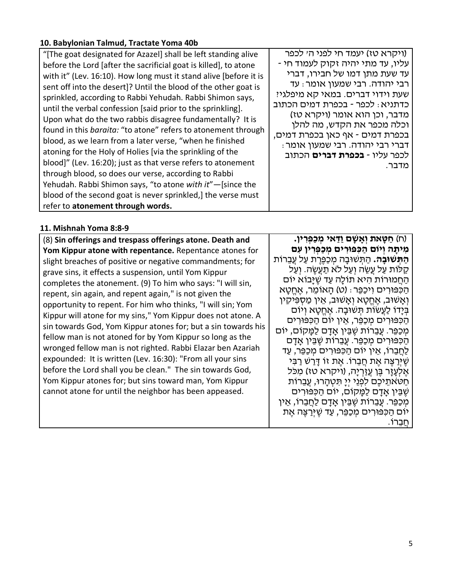#### **10. Babylonian Talmud, Tractate Yoma 40b**

| "[The goat designated for Azazel] shall be left standing alive       | (ויקרא טז) יעמד חי לפני ה׳ לכפר                                     |
|----------------------------------------------------------------------|---------------------------------------------------------------------|
| before the Lord [after the sacrificial goat is killed], to atone     | - עליו, עד מתי יהיה זקוק לעמוד חי                                   |
| with it" (Lev. 16:10). How long must it stand alive [before it is    | עד שעת מתן דמו של חבירו, דברי                                       |
| sent off into the desert]? Until the blood of the other goat is      | רבי יהודה. רבי שמעון אומר: עד                                       |
| sprinkled, according to Rabbi Yehudah. Rabbi Shimon says,            | שעת וידוי דברים. במאי קא מיפלגי?                                    |
| until the verbal confession [said prior to the sprinkling].          | כדתניא : לכפר - בכפרת דמים הכתוב                                    |
| Upon what do the two rabbis disagree fundamentally? It is            | מדבר, וכן הוא אומר (ויקרא טז)                                       |
| found in this <i>baraita:</i> "to atone" refers to atonement through | וכלה מכפר את הקדש, מה להלן                                          |
| blood, as we learn from a later verse, "when he finished             | בכפרת דמים - אף כאן בכפרת דמים,<br>: דברי רבי יהודה. רבי שמעון אומר |
| atoning for the Holy of Holies [via the sprinkling of the            | לכפר עליו - <b>בכפרת דברים</b> הכתוב                                |
| blood]" (Lev. 16:20); just as that verse refers to atonement         | מדבר.                                                               |
| through blood, so does our verse, according to Rabbi                 |                                                                     |
| Yehudah. Rabbi Shimon says, "to atone with it"-[since the            |                                                                     |
| blood of the second goat is never sprinkled, the verse must          |                                                                     |
| refer to atonement through words.                                    |                                                                     |

#### **11. Mishnah Yoma 8:8-9**

(8) **Sin offerings and trespass offerings atone. Death and Yom Kippur atone with repentance.** Repentance atones for slight breaches of positive or negative commandments; for grave sins, it effects a suspension, until Yom Kippur completes the atonement. (9) To him who says: "I will sin, repent, sin again, and repent again," is not given the opportunity to repent. For him who thinks, "I will sin; Yom Kippur will atone for my sins," Yom Kippur does not atone. A sin towards God, Yom Kippur atones for; but a sin towards his fellow man is not atoned for by Yom Kippur so long as the wronged fellow man is not righted. Rabbi Elazar ben Azariah expounded: It is written (Lev. 16:30): "From all your sins before the Lord shall you be clean." The sin towards God, Yom Kippur atones for; but sins toward man, Yom Kippur cannot atone for until the neighbor has been appeased.

(ח) **חַ טָּ את וְ אָ שָׁ ם וַדַּ אי מְ כַפְּ רִ ין. מִ יתָ ה וְ יוֹם הַ כִּ פּוּרִ ים מְ כַפְּ רִ ין עִ ם ּהַתִּשׁוּבָה.** הַתְּשׁוּבָה מִכַפֶּרֶת עַל עֲבֵרוֹת ְקַלּוֹת עַל עֲשֶׂה וְעַל לֹא תַעֲשֶׂה. וְעַל ּהַחֲמוּרוֹת הִיא תוֹלַה עַד שֶׁיַּבוֹא יוֹם הַ כִּ פּוּרִ ים וִ יכַפֵּר: (ט) הָ אוֹמֵ ר, אֶ חֱ טָ א וְ אָשׁוּב, אֶחֱטָא וְאָשׁוּב, אֵין מַסְפִּיקִין ַ בְּיָדוֹ לַעֲשׂוֹת תְּשׁוּבָה. אֶחֱטָא וְיוֹם הַכִּפּוּרִים מִכַפֵּר, אֵין יוֹם הַכִּפּוּרִים ְמִכַפֵּר. עֲבֵרוֹת שֶׁבֵּין אַדָם לַמַּקוֹם, יוֹם ֿ הַכִּפּוּרִים מִכַּפֵּר. עֵבֵרוֹת שֵׁבֵּין אָדָם ַלַחֲבֵרוֹ, אֵין יוֹם הַכִּפּוּרִים מִכַפֵּר, עַד שֵׁ יְּרַצֶּה אֶת חֲבֶרוֹ. אֶת זוֹ דַּרָשׁ רַבִּי ּ אֱלְעֲזֶר בֶּן עֲזַרְיָה, (ויקרא טז) מִכֹּל ּחַטּאתֵיכֶם לִפְנֵי יִיַ תִּטְהַרוּ, עֲבֵרוֹת שֶׁבֵּין אָדָם לַמָּקוֹם, יוֹם הַכִּפּוּרִים ְמִכַּפֵּר. עֲבֵרוֹת שֶׁבֵּין אַדָם לַחֲבֵרוֹ, אֵין יוֹם הַכִּפּוּרִים מִכַפֵּר, עַד שֵׁיִּרַצֵּה אֵת חברוֹ.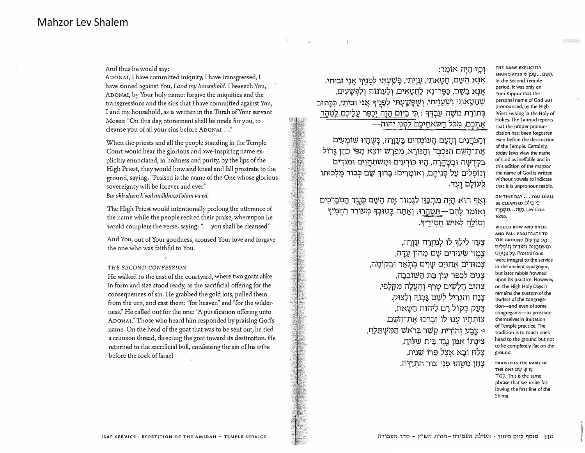And thus he would say:

ADONAI<sub>'</sub>I have committed iniquity, I have transgressed, I have sinned against You, I and my household. I beseech You, ADONAL, by Your holy name: forgive the iniquities and the transgressions and the sins that I have committed against You, I and my household, as is written in the Torah of Your servant Moses: "On this day, atonement shall be made for you, to cleanse you of all your sins before ADONAI ..."

When the priests and all the people standing in the Temple Court would hear the glorious and awe-inspiring name explicitly enunciated, in holiness and purity, by the lips of the High Priest, they would bow and kneel and fall prostrate to the ground, saying, "Praised is the name of the One whose glorious sovereignty will be forever and ever."

*Banild1 shem lc'vod malkhuto l'olam va·ed.* 

The High Priest would intentionally prolong the utterance of the name while the people recited their praise, whereupon he would complete the verse, saying: "... you shall be cleansed."

And You, out of Your goodness, aroused Your love and forgave the one who was faithful to You.

#### *THE SECOND CONFESSION*

He walked to the east of the courtyard, where two goats alike in form and size stood ready, as the sacrificial offering for the consequences of sin. He grabbed the gold lots, pulled them from the urn, and cast them: "for heaven" and "for the wilderness." He called out for the one: "A purification offering unto ADONAI." Those who heard him responded by praising God's name. On the head of the goat that was to be sent out, he tied a crimson thread, directing the goat toward its destination. He returned to the sacrificial bull, confessing the sin of his tribe before the rock oflsrael.

#### **ֿוְכָרְ** דָיָה אוֹמֵר:

**.•n•::n '�l:\$ 'l't?? 'Dl?W;;i ,'D')l? ,'DX\20 ,tJWO X�l:( ,tJ'll'V9?1 lliJi:\??1 ,tJ'J<:\:>Q? xr,;;i:;i ,tJW:;i X�l:( :im�:;i ,'i:t':n 'Jl:) 9W?? 'l'IJ?W;;iV,11 .'l7'Jl?W1 'DX121JW** בְּתוֹרַת מֹשֶׁה עַבְדֶּךְ : <u>כְּי בִיּוֹּם הַזֶּה יְכַפֵּר עֲלֵיכֶם לְטַהֲר</u> אֶתְכֶם, מִכֹּל חַטֹּאתֵיכֶם לִפְנֵי יהוה—

**tJ'lll:Ji\U 1•:,w:i ,:iitll:i tJ'1l:JiJJ:, tJll:i1 tJ>J:,j:i, '; T •,• , TT-I T •, T T <sup>T</sup> ; • -t - <sup>1</sup>** אַת־הַשֵּׁם הַנִּכְבַּד וְהַנּוֹרֵא, מִפ*ֹּרַשׁ יוֹצֵא מִפּי כֹּהֵן גּד*וֹל בקדשה ובטהרה, היו כורעים ומשתחוים ומודים **im:i7,;i 1i:i:;i tJW "]1i:;t :tJ'll;iiX] ,tJ;:n;;i 7)1 tJ'?9iJ1 .**לעוֹלַם ועד.  $\mathbf{v}$  , T  $\mathbf{v}$ 

וְאַף הוּא הַיָּה מְתִכָּוֵן לִגְמוֹר אֵת הַשֵּׁם כְּנֵגֵד הַמִּבֶרְכִים ואומר להם—הטהרו. ואתה בטובר מעורר <u>רח</u>מיר **-9'7't;Jt) IV'X? r)'.7.iO]**

> צַעֲד לֵילֵךּ לוֹ לִמזְרַח עֲזַרָה, צמד שעירים שם מהון עדה, **,:i,;iip:;n il:<i;l:;t tJ'1o/ tJ�m:t) tJ•1m;r צֵגִים לְכַפֵּר עֲוֹן בַּת הַשׁוֹבֵבַה, ְצֵהוּב חֲלָשִׁיּם טָרַף וְהֶעֱלָה מִקַּלְפּי,** צַנַח והגריל לשם גּבוֹה ולצוק, **,l7X1p0 :,,:,•';, tJl '.7ip;i Pll'.:i**  צוֹתְתָיו עָנוּ לוֹ וּבֵרְכוּ אָת־הַשֵּׁם, **,11?Do/Y;JO wx,;i i\lij? n•,i:,T ll'.;l;!** <1 **ציגֵתוֹ אִמֵן נֵגֶד בֵּית שלִוּחַ,** צֵלֵח וּבֵא אצל פּרוֹ שׁ**נית**. צְדַון מַטֵּהוּ פְּנֵי צוּר התִו<u>ד</u>רה.

**THE NAME EXPLICITLY ENUNCIATED 0'}0J;l ••• D'qi,J,**  In the Second Temple period, it was only on Yorn Kippur that the personal name of God was pronounced, by the High Priest serving in the Holy of Holies. The Talmud reports that the proper pronunciation had been forgorren even before the destruction of the Temple. Certainly, today lews view the name of God as ineffable and in this edition of the mabzor the name of God is written without vowels to indicate that it is unpronounceable.

**ON THIS DAY,., YOU SMALL BE CLEANSED Dine BE** חַזָּה...תִּטְהֵרוּ 16:30.

**WOULD BOW AND KNEEL AND FALL PROSTRATE TO THE GROUND** 01)!1)) )1Q ומשתחוים ומודים ונופלים על פּנֵיהַם. Prostrations were integral to the service in rhe ancient synagogue, but later rabbis frowned upon its practice. However, on the High Holy Days it remains the custom of the leaders of the congregation-and even of some congregants-to prostrate themselves in imitation of Temple practice. The tradition is to touch one's head to the ground but not to fie completely Aat on the ground.

**PRAISED IS THE NAME OF THE ONE** □� **';jl7�**  1tq. This is the same phrase that we recite following the first line of the Sh'ma.